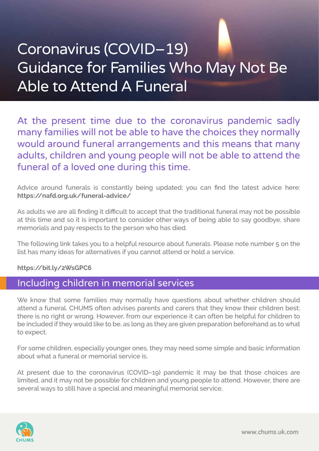## Coronavirus (COVID–19) Guidance for Families Who May Not Be Able to Attend A Funeral

At the present time due to the coronavirus pandemic sadly many families will not be able to have the choices they normally would around funeral arrangements and this means that many adults, children and young people will not be able to attend the funeral of a loved one during this time.

Advice around funerals is constantly being updated; you can find the latest advice here: **https://nafd.org.uk/funeral-advice/**

As adults we are all finding it difficult to accept that the traditional funeral may not be possible at this time and so it is important to consider other ways of being able to say goodbye, share memorials and pay respects to the person who has died.

The following link takes you to a helpful resource about funerals. Please note number 5 on the list has many ideas for alternatives if you cannot attend or hold a service.

## **https://bit.ly/2WsGPC6**

## Including children in memorial services

We know that some families may normally have questions about whether children should attend a funeral. CHUMS often advises parents and carers that they know their children best; there is no right or wrong. However, from our experience it can often be helpful for children to be included if they would like to be, as long as they are given preparation beforehand as to what to expect.

For some children, especially younger ones, they may need some simple and basic information about what a funeral or memorial service is.

At present due to the coronavirus (COVID–19) pandemic it may be that those choices are limited, and it may not be possible for children and young people to attend. However, there are several ways to still have a special and meaningful memorial service.